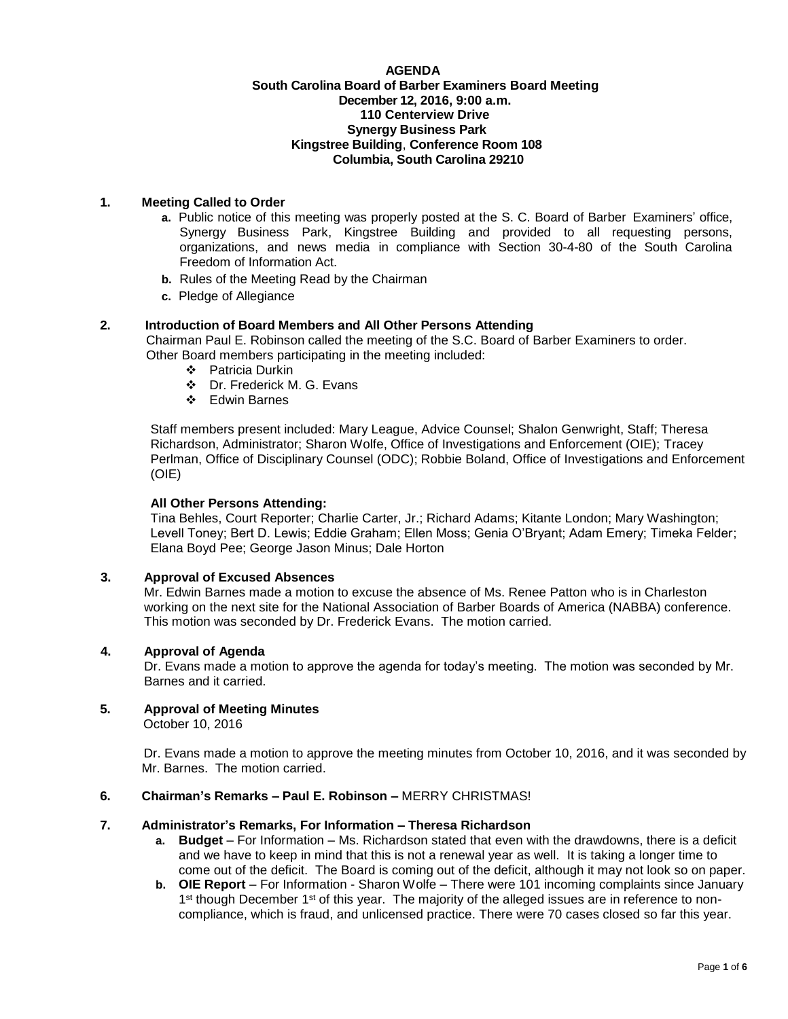#### **AGENDA South Carolina Board of Barber Examiners Board Meeting December 12, 2016, 9:00 a.m. 110 Centerview Drive Synergy Business Park Kingstree Building**, **Conference Room 108 Columbia, South Carolina 29210**

# **1. Meeting Called to Order**

- **a.** Public notice of this meeting was properly posted at the S. C. Board of Barber Examiners' office, Synergy Business Park, Kingstree Building and provided to all requesting persons, organizations, and news media in compliance with Section 30-4-80 of the South Carolina Freedom of Information Act.
- **b.** Rules of the Meeting Read by the Chairman
- **c.** Pledge of Allegiance

# **2. Introduction of Board Members and All Other Persons Attending**

 Chairman Paul E. Robinson called the meeting of the S.C. Board of Barber Examiners to order. Other Board members participating in the meeting included:

- Patricia Durkin
- Dr. Frederick M. G. Evans
- Edwin Barnes

Staff members present included: Mary League, Advice Counsel; Shalon Genwright, Staff; Theresa Richardson, Administrator; Sharon Wolfe, Office of Investigations and Enforcement (OIE); Tracey Perlman, Office of Disciplinary Counsel (ODC); Robbie Boland, Office of Investigations and Enforcement (OIE)

## **All Other Persons Attending:**

Tina Behles, Court Reporter; Charlie Carter, Jr.; Richard Adams; Kitante London; Mary Washington; Levell Toney; Bert D. Lewis; Eddie Graham; Ellen Moss; Genia O'Bryant; Adam Emery; Timeka Felder; Elana Boyd Pee; George Jason Minus; Dale Horton

## **3. Approval of Excused Absences**

Mr. Edwin Barnes made a motion to excuse the absence of Ms. Renee Patton who is in Charleston working on the next site for the National Association of Barber Boards of America (NABBA) conference. This motion was seconded by Dr. Frederick Evans. The motion carried.

## **4. Approval of Agenda**

Dr. Evans made a motion to approve the agenda for today's meeting. The motion was seconded by Mr. Barnes and it carried.

# **5. Approval of Meeting Minutes**

October 10, 2016

Dr. Evans made a motion to approve the meeting minutes from October 10, 2016, and it was seconded by Mr. Barnes. The motion carried.

# **6. Chairman's Remarks – Paul E. Robinson –** MERRY CHRISTMAS!

## **7. Administrator's Remarks, For Information – Theresa Richardson**

- **a. Budget**  For Information Ms. Richardson stated that even with the drawdowns, there is a deficit and we have to keep in mind that this is not a renewal year as well. It is taking a longer time to come out of the deficit. The Board is coming out of the deficit, although it may not look so on paper.
- **b. OIE Report** For Information Sharon Wolfe There were 101 incoming complaints since January 1<sup>st</sup> though December 1<sup>st</sup> of this year. The majority of the alleged issues are in reference to noncompliance, which is fraud, and unlicensed practice. There were 70 cases closed so far this year.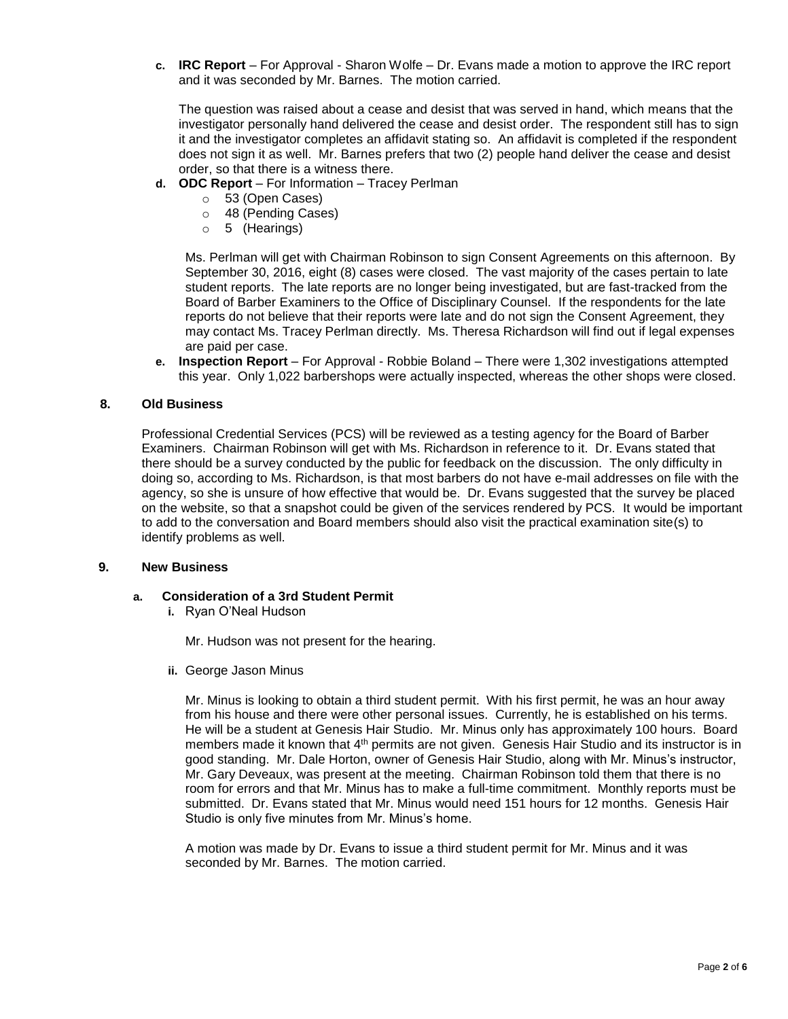**c. IRC Report** – For Approval - Sharon Wolfe – Dr. Evans made a motion to approve the IRC report and it was seconded by Mr. Barnes. The motion carried.

The question was raised about a cease and desist that was served in hand, which means that the investigator personally hand delivered the cease and desist order. The respondent still has to sign it and the investigator completes an affidavit stating so. An affidavit is completed if the respondent does not sign it as well. Mr. Barnes prefers that two (2) people hand deliver the cease and desist order, so that there is a witness there.

- **d. ODC Report**  For Information Tracey Perlman
	- o 53 (Open Cases)
	- o 48 (Pending Cases)
	- o 5 (Hearings)

Ms. Perlman will get with Chairman Robinson to sign Consent Agreements on this afternoon. By September 30, 2016, eight (8) cases were closed. The vast majority of the cases pertain to late student reports. The late reports are no longer being investigated, but are fast-tracked from the Board of Barber Examiners to the Office of Disciplinary Counsel. If the respondents for the late reports do not believe that their reports were late and do not sign the Consent Agreement, they may contact Ms. Tracey Perlman directly. Ms. Theresa Richardson will find out if legal expenses are paid per case.

**e. Inspection Report** – For Approval - Robbie Boland – There were 1,302 investigations attempted this year. Only 1,022 barbershops were actually inspected, whereas the other shops were closed.

## **8. Old Business**

Professional Credential Services (PCS) will be reviewed as a testing agency for the Board of Barber Examiners. Chairman Robinson will get with Ms. Richardson in reference to it. Dr. Evans stated that there should be a survey conducted by the public for feedback on the discussion. The only difficulty in doing so, according to Ms. Richardson, is that most barbers do not have e-mail addresses on file with the agency, so she is unsure of how effective that would be. Dr. Evans suggested that the survey be placed on the website, so that a snapshot could be given of the services rendered by PCS. It would be important to add to the conversation and Board members should also visit the practical examination site(s) to identify problems as well.

#### **9. New Business**

## **a. Consideration of a 3rd Student Permit**

**i.** Ryan O'Neal Hudson

Mr. Hudson was not present for the hearing.

**ii.** George Jason Minus

Mr. Minus is looking to obtain a third student permit. With his first permit, he was an hour away from his house and there were other personal issues. Currently, he is established on his terms. He will be a student at Genesis Hair Studio. Mr. Minus only has approximately 100 hours. Board members made it known that 4th permits are not given. Genesis Hair Studio and its instructor is in good standing. Mr. Dale Horton, owner of Genesis Hair Studio, along with Mr. Minus's instructor, Mr. Gary Deveaux, was present at the meeting. Chairman Robinson told them that there is no room for errors and that Mr. Minus has to make a full-time commitment. Monthly reports must be submitted. Dr. Evans stated that Mr. Minus would need 151 hours for 12 months. Genesis Hair Studio is only five minutes from Mr. Minus's home.

A motion was made by Dr. Evans to issue a third student permit for Mr. Minus and it was seconded by Mr. Barnes. The motion carried.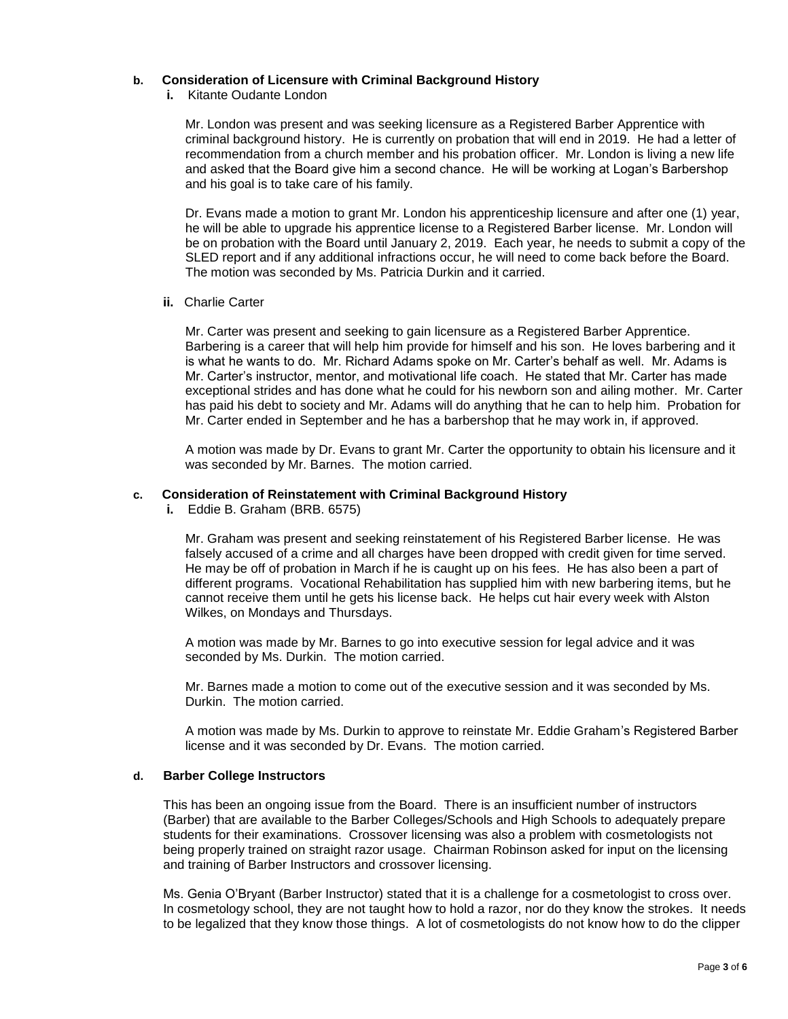## **b. Consideration of Licensure with Criminal Background History**

**i.** Kitante Oudante London

Mr. London was present and was seeking licensure as a Registered Barber Apprentice with criminal background history. He is currently on probation that will end in 2019. He had a letter of recommendation from a church member and his probation officer. Mr. London is living a new life and asked that the Board give him a second chance. He will be working at Logan's Barbershop and his goal is to take care of his family.

Dr. Evans made a motion to grant Mr. London his apprenticeship licensure and after one (1) year, he will be able to upgrade his apprentice license to a Registered Barber license. Mr. London will be on probation with the Board until January 2, 2019. Each year, he needs to submit a copy of the SLED report and if any additional infractions occur, he will need to come back before the Board. The motion was seconded by Ms. Patricia Durkin and it carried.

**ii.** Charlie Carter

Mr. Carter was present and seeking to gain licensure as a Registered Barber Apprentice. Barbering is a career that will help him provide for himself and his son. He loves barbering and it is what he wants to do. Mr. Richard Adams spoke on Mr. Carter's behalf as well. Mr. Adams is Mr. Carter's instructor, mentor, and motivational life coach. He stated that Mr. Carter has made exceptional strides and has done what he could for his newborn son and ailing mother. Mr. Carter has paid his debt to society and Mr. Adams will do anything that he can to help him. Probation for Mr. Carter ended in September and he has a barbershop that he may work in, if approved.

A motion was made by Dr. Evans to grant Mr. Carter the opportunity to obtain his licensure and it was seconded by Mr. Barnes. The motion carried.

# **c. Consideration of Reinstatement with Criminal Background History**

**i.** Eddie B. Graham (BRB. 6575)

Mr. Graham was present and seeking reinstatement of his Registered Barber license. He was falsely accused of a crime and all charges have been dropped with credit given for time served. He may be off of probation in March if he is caught up on his fees. He has also been a part of different programs. Vocational Rehabilitation has supplied him with new barbering items, but he cannot receive them until he gets his license back. He helps cut hair every week with Alston Wilkes, on Mondays and Thursdays.

A motion was made by Mr. Barnes to go into executive session for legal advice and it was seconded by Ms. Durkin. The motion carried.

Mr. Barnes made a motion to come out of the executive session and it was seconded by Ms. Durkin. The motion carried.

A motion was made by Ms. Durkin to approve to reinstate Mr. Eddie Graham's Registered Barber license and it was seconded by Dr. Evans. The motion carried.

# **d. Barber College Instructors**

This has been an ongoing issue from the Board. There is an insufficient number of instructors (Barber) that are available to the Barber Colleges/Schools and High Schools to adequately prepare students for their examinations. Crossover licensing was also a problem with cosmetologists not being properly trained on straight razor usage. Chairman Robinson asked for input on the licensing and training of Barber Instructors and crossover licensing.

Ms. Genia O'Bryant (Barber Instructor) stated that it is a challenge for a cosmetologist to cross over. In cosmetology school, they are not taught how to hold a razor, nor do they know the strokes. It needs to be legalized that they know those things. A lot of cosmetologists do not know how to do the clipper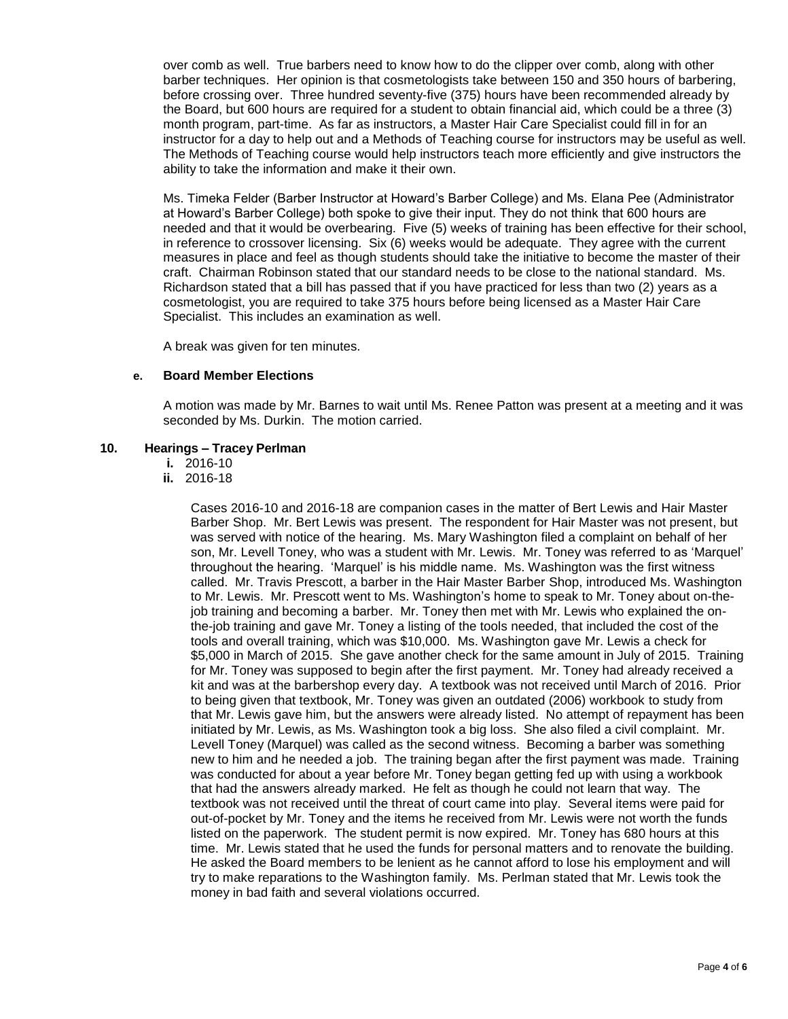over comb as well. True barbers need to know how to do the clipper over comb, along with other barber techniques. Her opinion is that cosmetologists take between 150 and 350 hours of barbering, before crossing over. Three hundred seventy-five (375) hours have been recommended already by the Board, but 600 hours are required for a student to obtain financial aid, which could be a three (3) month program, part-time. As far as instructors, a Master Hair Care Specialist could fill in for an instructor for a day to help out and a Methods of Teaching course for instructors may be useful as well. The Methods of Teaching course would help instructors teach more efficiently and give instructors the ability to take the information and make it their own.

Ms. Timeka Felder (Barber Instructor at Howard's Barber College) and Ms. Elana Pee (Administrator at Howard's Barber College) both spoke to give their input. They do not think that 600 hours are needed and that it would be overbearing. Five (5) weeks of training has been effective for their school, in reference to crossover licensing. Six (6) weeks would be adequate. They agree with the current measures in place and feel as though students should take the initiative to become the master of their craft. Chairman Robinson stated that our standard needs to be close to the national standard. Ms. Richardson stated that a bill has passed that if you have practiced for less than two (2) years as a cosmetologist, you are required to take 375 hours before being licensed as a Master Hair Care Specialist. This includes an examination as well.

A break was given for ten minutes.

#### **e. Board Member Elections**

A motion was made by Mr. Barnes to wait until Ms. Renee Patton was present at a meeting and it was seconded by Ms. Durkin. The motion carried.

#### **10. Hearings – Tracey Perlman**

- **i.** 2016-10
- **ii.** 2016-18

Cases 2016-10 and 2016-18 are companion cases in the matter of Bert Lewis and Hair Master Barber Shop. Mr. Bert Lewis was present. The respondent for Hair Master was not present, but was served with notice of the hearing. Ms. Mary Washington filed a complaint on behalf of her son, Mr. Levell Toney, who was a student with Mr. Lewis. Mr. Toney was referred to as 'Marquel' throughout the hearing. 'Marquel' is his middle name. Ms. Washington was the first witness called. Mr. Travis Prescott, a barber in the Hair Master Barber Shop, introduced Ms. Washington to Mr. Lewis. Mr. Prescott went to Ms. Washington's home to speak to Mr. Toney about on-thejob training and becoming a barber. Mr. Toney then met with Mr. Lewis who explained the onthe-job training and gave Mr. Toney a listing of the tools needed, that included the cost of the tools and overall training, which was \$10,000. Ms. Washington gave Mr. Lewis a check for \$5,000 in March of 2015. She gave another check for the same amount in July of 2015. Training for Mr. Toney was supposed to begin after the first payment. Mr. Toney had already received a kit and was at the barbershop every day. A textbook was not received until March of 2016. Prior to being given that textbook, Mr. Toney was given an outdated (2006) workbook to study from that Mr. Lewis gave him, but the answers were already listed. No attempt of repayment has been initiated by Mr. Lewis, as Ms. Washington took a big loss. She also filed a civil complaint. Mr. Levell Toney (Marquel) was called as the second witness. Becoming a barber was something new to him and he needed a job. The training began after the first payment was made. Training was conducted for about a year before Mr. Toney began getting fed up with using a workbook that had the answers already marked. He felt as though he could not learn that way. The textbook was not received until the threat of court came into play. Several items were paid for out-of-pocket by Mr. Toney and the items he received from Mr. Lewis were not worth the funds listed on the paperwork. The student permit is now expired. Mr. Toney has 680 hours at this time. Mr. Lewis stated that he used the funds for personal matters and to renovate the building. He asked the Board members to be lenient as he cannot afford to lose his employment and will try to make reparations to the Washington family. Ms. Perlman stated that Mr. Lewis took the money in bad faith and several violations occurred.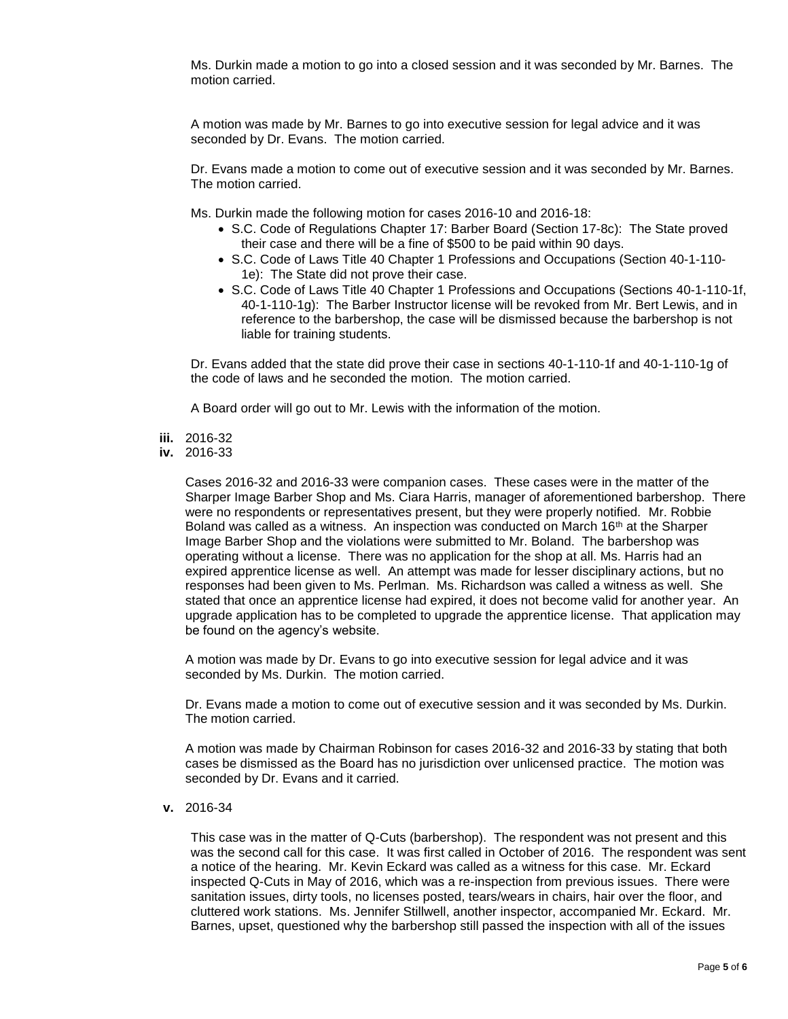Ms. Durkin made a motion to go into a closed session and it was seconded by Mr. Barnes. The motion carried.

A motion was made by Mr. Barnes to go into executive session for legal advice and it was seconded by Dr. Evans. The motion carried.

Dr. Evans made a motion to come out of executive session and it was seconded by Mr. Barnes. The motion carried.

Ms. Durkin made the following motion for cases 2016-10 and 2016-18:

- S.C. Code of Regulations Chapter 17: Barber Board (Section 17-8c): The State proved their case and there will be a fine of \$500 to be paid within 90 days.
- S.C. Code of Laws Title 40 Chapter 1 Professions and Occupations (Section 40-1-110- 1e): The State did not prove their case.
- S.C. Code of Laws Title 40 Chapter 1 Professions and Occupations (Sections 40-1-110-1f, 40-1-110-1g): The Barber Instructor license will be revoked from Mr. Bert Lewis, and in reference to the barbershop, the case will be dismissed because the barbershop is not liable for training students.

Dr. Evans added that the state did prove their case in sections 40-1-110-1f and 40-1-110-1g of the code of laws and he seconded the motion. The motion carried.

A Board order will go out to Mr. Lewis with the information of the motion.

- **iii.** 2016-32
- **iv.** 2016-33

Cases 2016-32 and 2016-33 were companion cases. These cases were in the matter of the Sharper Image Barber Shop and Ms. Ciara Harris, manager of aforementioned barbershop. There were no respondents or representatives present, but they were properly notified. Mr. Robbie Boland was called as a witness. An inspection was conducted on March 16<sup>th</sup> at the Sharper Image Barber Shop and the violations were submitted to Mr. Boland. The barbershop was operating without a license. There was no application for the shop at all. Ms. Harris had an expired apprentice license as well. An attempt was made for lesser disciplinary actions, but no responses had been given to Ms. Perlman. Ms. Richardson was called a witness as well. She stated that once an apprentice license had expired, it does not become valid for another year. An upgrade application has to be completed to upgrade the apprentice license. That application may be found on the agency's website.

A motion was made by Dr. Evans to go into executive session for legal advice and it was seconded by Ms. Durkin. The motion carried.

Dr. Evans made a motion to come out of executive session and it was seconded by Ms. Durkin. The motion carried.

A motion was made by Chairman Robinson for cases 2016-32 and 2016-33 by stating that both cases be dismissed as the Board has no jurisdiction over unlicensed practice. The motion was seconded by Dr. Evans and it carried.

**v.** 2016-34

This case was in the matter of Q-Cuts (barbershop). The respondent was not present and this was the second call for this case. It was first called in October of 2016. The respondent was sent a notice of the hearing. Mr. Kevin Eckard was called as a witness for this case. Mr. Eckard inspected Q-Cuts in May of 2016, which was a re-inspection from previous issues. There were sanitation issues, dirty tools, no licenses posted, tears/wears in chairs, hair over the floor, and cluttered work stations. Ms. Jennifer Stillwell, another inspector, accompanied Mr. Eckard. Mr. Barnes, upset, questioned why the barbershop still passed the inspection with all of the issues